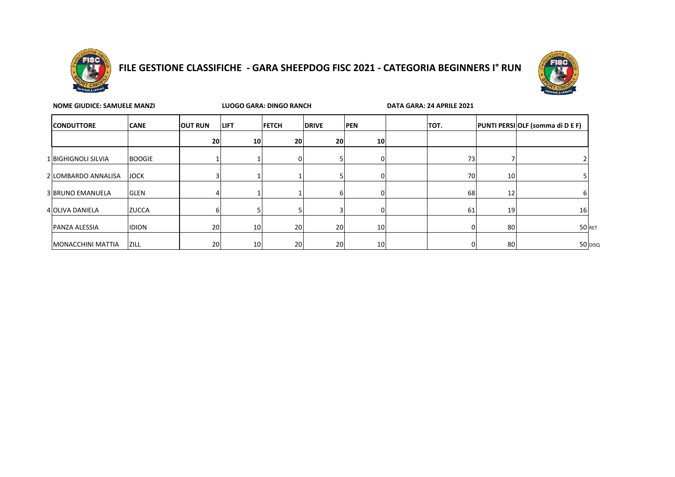

# **FILE GESTIONE CLASSIFICHE - GARA SHEEPDOG FISC 2021 - CATEGORIA BEGINNERS I° RUN**



| <b>NOME GIUDICE: SAMUELE MANZI</b> |               |                |                 | LUOGO GARA: DINGO RANCH |              |                 | DATA GARA: 24 APRILE 2021 |    |                                         |
|------------------------------------|---------------|----------------|-----------------|-------------------------|--------------|-----------------|---------------------------|----|-----------------------------------------|
| <b>CONDUTTORE</b>                  | <b>CANE</b>   | <b>OUT RUN</b> | <b>LIFT</b>     | <b>FETCH</b>            | <b>DRIVE</b> | <b>PEN</b>      | TOT.                      |    | <b>PUNTI PERSI OLF (somma di D E F)</b> |
|                                    |               | 20             | 10 <sup>1</sup> | 20                      | 20           | 10 <sup>1</sup> |                           |    |                                         |
| 1 BIGHIGNOLI SILVIA                | <b>BOOGIE</b> |                |                 |                         |              | <sup>o</sup>    | 73                        |    |                                         |
| 2 LOMBARDO ANNALISA                | <b>JOCK</b>   |                |                 |                         |              | 0               | 70                        | 10 |                                         |
| <b>3 BRUNO EMANUELA</b>            | <b>GLEN</b>   |                |                 |                         | h            | 0               | 68                        | 12 |                                         |
| 4 OLIVA DANIELA                    | <b>ZUCCA</b>  |                |                 |                         |              | $\Omega$        | 61                        | 19 | 16                                      |
| PANZA ALESSIA                      | <b>IDION</b>  | 20             | 10 <sup>1</sup> | 20                      | <b>20</b>    | 10              |                           | 80 | 50 RET                                  |
| MONACCHINI MATTIA                  | <b>ZILL</b>   | 20             | 10 <sup>1</sup> | 20                      | <b>20</b>    | 10 <sup>1</sup> |                           | 80 | 50 DISQ                                 |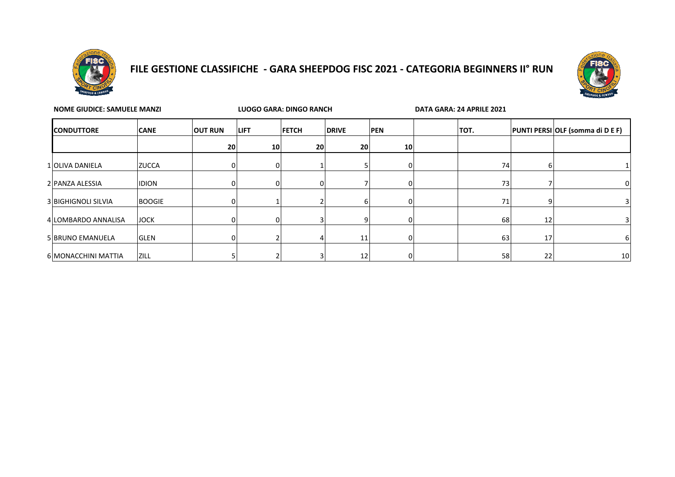

## **FILE GESTIONE CLASSIFICHE - GARA SHEEPDOG FISC 2021 - CATEGORIA BEGINNERS II° RUN**



| <b>NOME GIUDICE: SAMUELE MANZI</b> |               | <b>LUOGO GARA: DINGO RANCH</b> |             |              | DATA GARA: 24 APRILE 2021 |            |      |    |    |                                         |
|------------------------------------|---------------|--------------------------------|-------------|--------------|---------------------------|------------|------|----|----|-----------------------------------------|
| <b>CONDUTTORE</b>                  | <b>CANE</b>   | <b>OUT RUN</b>                 | <b>LIFT</b> | <b>FETCH</b> | <b>DRIVE</b>              | <b>PEN</b> | TOT. |    |    | <b>PUNTI PERSI OLF (somma di D E F)</b> |
|                                    |               | 20                             | 10          | 20           | 20                        | 10         |      |    |    |                                         |
| 1 OLIVA DANIELA                    | <b>ZUCCA</b>  |                                |             |              |                           | 01         |      | 74 | D  |                                         |
| 2 PANZA ALESSIA                    | <b>IDION</b>  | n۱                             |             |              |                           | 01         |      | 73 |    | 0                                       |
| <b>3 BIGHIGNOLI SILVIA</b>         | <b>BOOGIE</b> |                                |             |              |                           | 01         |      | 71 | q  |                                         |
| 4 LOMBARDO ANNALISA                | <b>JOCK</b>   |                                |             |              | q                         | 01         |      | 68 | 12 |                                         |
| 5 BRUNO EMANUELA                   | <b>GLEN</b>   |                                |             |              | 11                        | υ          |      | 63 | 17 | 6                                       |
| 6 MONACCHINI MATTIA                | <b>ZILL</b>   |                                |             |              | 12                        | 01         |      | 58 | 22 | 10                                      |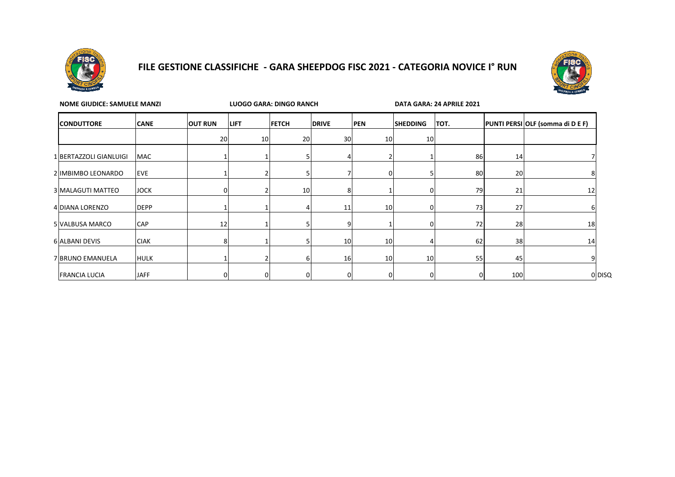

### **FILE GESTIONE CLASSIFICHE - GARA SHEEPDOG FISC 2021 - CATEGORIA NOVICE I° RUN**



| <b>NOME GIUDICE: SAMUELE MANZI</b> |             |                |             | LUOGO GARA: DINGO RANCH |              |                 | DATA GARA: 24 APRILE 2021 |      |     |                                  |
|------------------------------------|-------------|----------------|-------------|-------------------------|--------------|-----------------|---------------------------|------|-----|----------------------------------|
| <b>CONDUTTORE</b>                  | <b>CANE</b> | <b>OUT RUN</b> | <b>LIFT</b> | <b>FETCH</b>            | <b>DRIVE</b> | <b>PEN</b>      | <b>SHEDDING</b>           | TOT. |     | PUNTI PERSI OLF (somma di D E F) |
|                                    |             | 20             | 10          | 20                      | 30           | 10              | 10                        |      |     |                                  |
| 1 BERTAZZOLI GIANLUIGI             | <b>MAC</b>  |                |             |                         |              |                 |                           | 86   | 14  |                                  |
| 2 IMBIMBO LEONARDO                 | <b>EVE</b>  |                |             |                         |              |                 |                           | 80   | 20  |                                  |
| 3 MALAGUTI MATTEO                  | <b>JOCK</b> |                |             | 10 <sup>1</sup>         | 8            |                 | n                         | 79   | 21  | 12                               |
| 4 DIANA LORENZO                    | <b>DEPP</b> |                |             |                         | 11           | 10 <sup>1</sup> | 0                         | 73   | 27  |                                  |
| 5 VALBUSA MARCO                    | <b>CAP</b>  | 12             |             |                         |              |                 |                           | 72   | 28  | 18                               |
| 6 ALBANI DEVIS                     | <b>CIAK</b> | 8              |             |                         | 10           | 10 <sup>1</sup> |                           | 62   | 38  | 14                               |
| 7 BRUNO EMANUELA                   | <b>HULK</b> |                |             | n                       | 16           | 10              | 10                        | 55   | 45  |                                  |
| <b>FRANCIA LUCIA</b>               | <b>JAFF</b> |                | 0           |                         |              |                 |                           |      | 100 | 0 DISQ                           |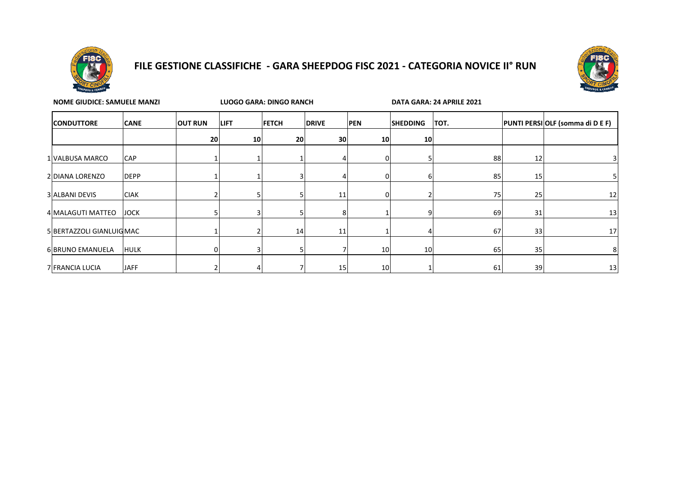

### **FILE GESTIONE CLASSIFICHE - GARA SHEEPDOG FISC 2021 - CATEGORIA NOVICE II° RUN**



| <b>NOME GIUDICE: SAMUELE MANZI</b> |             |    |                 | <b>LUOGO GARA: DINGO RANCH</b> |                 |            | DATA GARA: 24 APRILE 2021 |      |    |                                  |  |  |
|------------------------------------|-------------|----|-----------------|--------------------------------|-----------------|------------|---------------------------|------|----|----------------------------------|--|--|
| <b>CONDUTTORE</b>                  | <b>CANE</b> |    | <b>LIFT</b>     | <b>FETCH</b>                   | <b>DRIVE</b>    | <b>PEN</b> | <b>SHEDDING</b>           | TOT. |    | PUNTI PERSI OLF (somma di D E F) |  |  |
|                                    |             | 20 | 10 <sup>1</sup> | 20                             | 30 <sup>1</sup> | 10         | 10 <sub>l</sub>           |      |    |                                  |  |  |
| 1 VALBUSA MARCO                    | <b>CAP</b>  |    |                 |                                |                 |            |                           | 88   | 12 |                                  |  |  |
| 2 DIANA LORENZO                    | <b>DEPP</b> |    |                 |                                |                 |            | ь                         | 85   | 15 | כ                                |  |  |
| 3 ALBANI DEVIS                     | <b>CIAK</b> |    |                 |                                | 11              |            |                           | 75   | 25 | 12                               |  |  |
| 4 MALAGUTI MATTEO                  | <b>JOCK</b> |    |                 |                                |                 |            |                           | 69   | 31 | 13                               |  |  |
| 5 BERTAZZOLI GIANLUIGMAC           |             |    |                 | 14                             | 11              |            |                           | 67   | 33 | 17                               |  |  |
| 6 BRUNO EMANUELA                   | <b>HULK</b> | 0  |                 |                                |                 | 10         | 10                        | 65   | 35 | 8                                |  |  |
| 7 FRANCIA LUCIA                    | <b>JAFF</b> |    |                 |                                | 15              | 10         |                           | 61   | 39 | 13                               |  |  |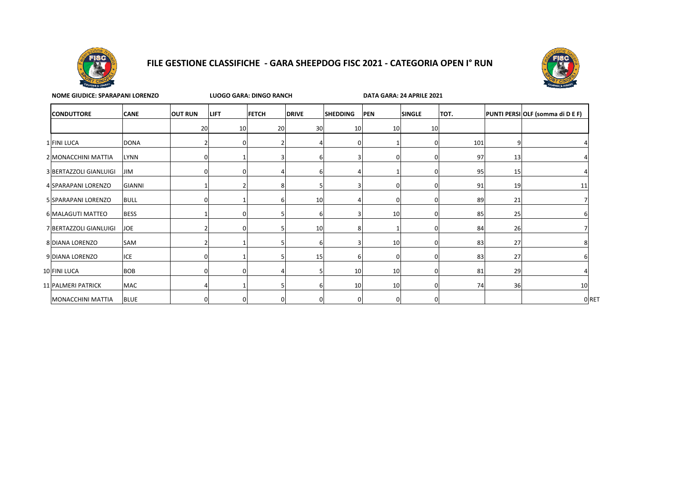

#### **FILE GESTIONE CLASSIFICHE - GARA SHEEPDOG FISC 2021 - CATEGORIA OPEN I° RUN**



| <b>NOME GIUDICE: SPARAPANI LORENZO</b> |               |                | LUOGO GARA: DINGO RANCH |                |                 |                 |            |               | DATA GARA: 24 APRILE 2021 |    |                                  |  |  |
|----------------------------------------|---------------|----------------|-------------------------|----------------|-----------------|-----------------|------------|---------------|---------------------------|----|----------------------------------|--|--|
| <b>CONDUTTORE</b>                      | <b>CANE</b>   | <b>OUT RUN</b> | <b>LIFT</b>             | <b>FETCH</b>   | <b>DRIVE</b>    | <b>SHEDDING</b> | <b>PEN</b> | <b>SINGLE</b> | TOT.                      |    | PUNTI PERSI OLF (somma di D E F) |  |  |
|                                        |               | 20             | 10                      | 20             | 30 <sup>1</sup> | 10              | 10         | 10            |                           |    |                                  |  |  |
| 1 FINI LUCA                            | <b>DONA</b>   |                |                         |                |                 |                 |            |               | 101                       |    |                                  |  |  |
| 2 MONACCHINI MATTIA                    | <b>LYNN</b>   |                |                         | $\overline{3}$ |                 |                 |            |               | 97                        | 13 |                                  |  |  |
| 3 BERTAZZOLI GIANLUIGI                 | <b>JIM</b>    |                |                         |                |                 |                 |            |               | 95                        | 15 |                                  |  |  |
| 4 SPARAPANI LORENZO                    | <b>GIANNI</b> |                |                         | 8              |                 |                 |            |               | 91                        | 19 | 11                               |  |  |
| 5 SPARAPANI LORENZO                    | <b>BULL</b>   |                |                         | 6              | 10              |                 |            |               | 89                        | 21 |                                  |  |  |
| 6 MALAGUTI MATTEO                      | <b>BESS</b>   |                |                         |                |                 |                 | 10         |               | 85                        | 25 |                                  |  |  |
| 7 BERTAZZOLI GIANLUIGI                 | <b>JOE</b>    |                |                         |                | 10              |                 |            |               | 84                        | 26 |                                  |  |  |
| 8 DIANA LORENZO                        | SAM           |                |                         |                |                 |                 | 10         |               | 83                        | 27 |                                  |  |  |
| 9 DIANA LORENZO                        | <b>ICE</b>    |                |                         |                | 15              |                 |            |               | 83                        | 27 |                                  |  |  |
| 10 FINI LUCA                           | <b>BOB</b>    |                |                         |                |                 | 10              | 10         |               | 81                        | 29 |                                  |  |  |
| 11 PALMERI PATRICK                     | MAC           |                |                         | 5              |                 | 10              | 10         |               | 74                        | 36 | 10                               |  |  |
| MONACCHINI MATTIA                      | <b>BLUE</b>   | 0              |                         | 0              |                 | 0               |            |               |                           |    | 0 RET                            |  |  |